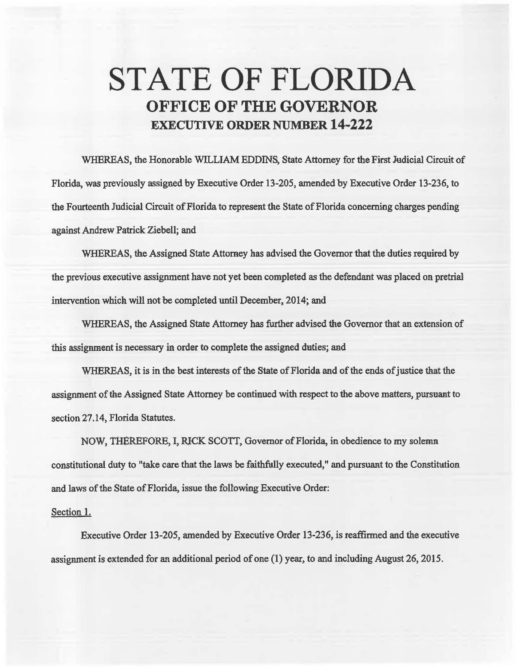## STATE OF FLORIDA OFFICE OF THE GOVERNOR **EXECUTIVE ORDER NUMBER 14-222**

WHEREAS, the Honorable WILLIAM EDDINS, State Attorney for the First Judicial Circuit of Florida, was previously assigned by Executive Order 13-205, amended by Executive Order 13-236, to the Fourteenth Judicial Circuit of Florida to represent the State of Florida concerning charges pending against Andrew Patrick Ziebell; and

WHEREAS, the Assigned State Attomey has advised the Governor that the duties required by the previous executive assignment have not yet been completed *as* the defendant was placed on pretrial intervention which will not be completed until December, 2014; and

WHEREAS, the Assigned State Attorney has further advised the Governor that an extension of this assignment is necessary in order to complete the assigned duties; and

WHEREAS, it is in the best interests of the State of Florida and of the ends of justice that the assignment of the Assigned State Attorney be continued with respect to the above matters, pursuant to section 27.14, Florida Statutes.

NOW, THEREFORE, I, RJCK SCOTT, Governor of Florida, in obedience to my solemn constitutional duty to "take care that the laws be faithfully executed," and pursuant to the Constitution. and laws of the State of Florida, issue the following Executive Order:

## Section 1.

Executive Order 13-205, amended by Executive Order 13-236, is reaffirmed and the executive assignment is extended for an additional period of one (1) year, to and including August 26, 2015.